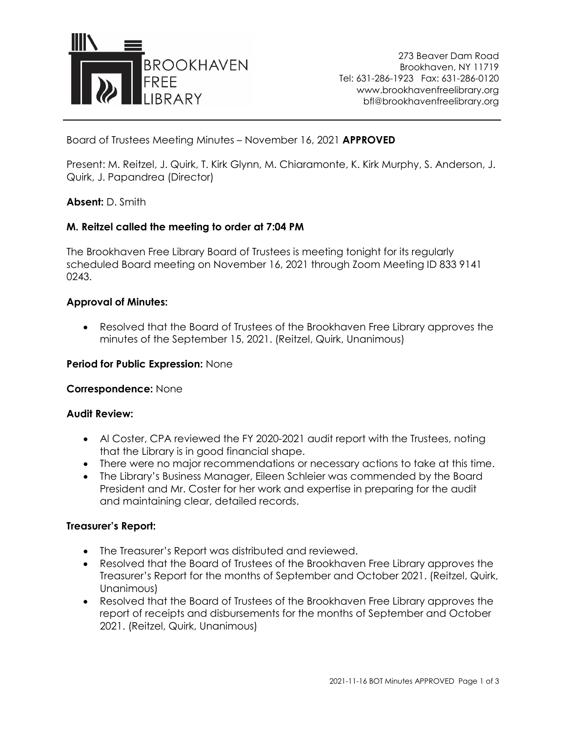

273 Beaver Dam Road Brookhaven, NY 11719 Tel: 631-286-1923 Fax: 631-286-0120 www.brookhavenfreelibrary.org bfl@brookhavenfreelibrary.org

Board of Trustees Meeting Minutes – November 16, 2021 **APPROVED**

Present: M. Reitzel, J. Quirk, T. Kirk Glynn, M. Chiaramonte, K. Kirk Murphy, S. Anderson, J. Quirk, J. Papandrea (Director)

## **Absent:** D. Smith

## **M. Reitzel called the meeting to order at 7:04 PM**

The Brookhaven Free Library Board of Trustees is meeting tonight for its regularly scheduled Board meeting on November 16, 2021 through Zoom Meeting ID 833 9141 0243.

#### **Approval of Minutes:**

• Resolved that the Board of Trustees of the Brookhaven Free Library approves the minutes of the September 15, 2021. (Reitzel, Quirk, Unanimous)

#### **Period for Public Expression:** None

#### **Correspondence:** None

#### **Audit Review:**

- Al Coster, CPA reviewed the FY 2020-2021 audit report with the Trustees, noting that the Library is in good financial shape.
- There were no major recommendations or necessary actions to take at this time.
- The Library's Business Manager, Eileen Schleier was commended by the Board President and Mr. Coster for her work and expertise in preparing for the audit and maintaining clear, detailed records.

#### **Treasurer's Report:**

- The Treasurer's Report was distributed and reviewed.
- Resolved that the Board of Trustees of the Brookhaven Free Library approves the Treasurer's Report for the months of September and October 2021. (Reitzel, Quirk, Unanimous)
- Resolved that the Board of Trustees of the Brookhaven Free Library approves the report of receipts and disbursements for the months of September and October 2021. (Reitzel, Quirk, Unanimous)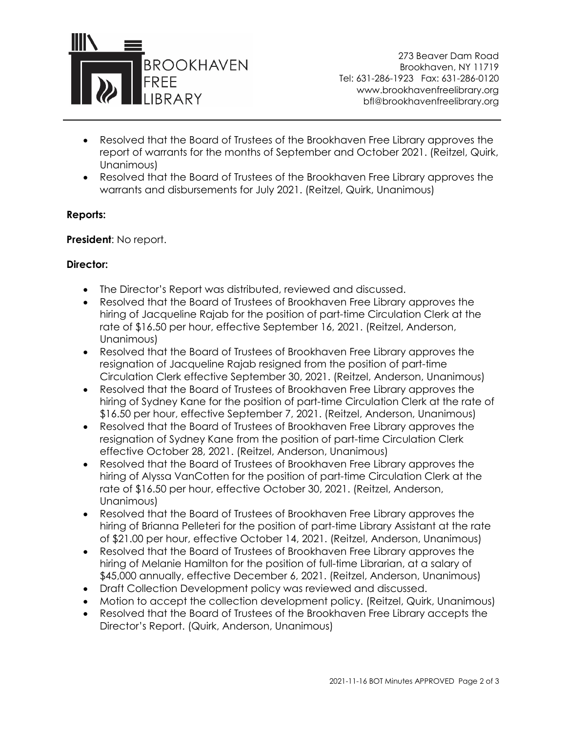

273 Beaver Dam Road Brookhaven, NY 11719 Tel: 631-286-1923 Fax: 631-286-0120 www.brookhavenfreelibrary.org bfl@brookhavenfreelibrary.org

- Resolved that the Board of Trustees of the Brookhaven Free Library approves the report of warrants for the months of September and October 2021. (Reitzel, Quirk, Unanimous)
- Resolved that the Board of Trustees of the Brookhaven Free Library approves the warrants and disbursements for July 2021. (Reitzel, Quirk, Unanimous)

## **Reports:**

**President**: No report.

# **Director:**

- The Director's Report was distributed, reviewed and discussed.
- Resolved that the Board of Trustees of Brookhaven Free Library approves the hiring of Jacqueline Rajab for the position of part-time Circulation Clerk at the rate of \$16.50 per hour, effective September 16, 2021. (Reitzel, Anderson, Unanimous)
- Resolved that the Board of Trustees of Brookhaven Free Library approves the resignation of Jacqueline Rajab resigned from the position of part-time Circulation Clerk effective September 30, 2021. (Reitzel, Anderson, Unanimous)
- Resolved that the Board of Trustees of Brookhaven Free Library approves the hiring of Sydney Kane for the position of part-time Circulation Clerk at the rate of \$16.50 per hour, effective September 7, 2021. (Reitzel, Anderson, Unanimous)
- Resolved that the Board of Trustees of Brookhaven Free Library approves the resignation of Sydney Kane from the position of part-time Circulation Clerk effective October 28, 2021. (Reitzel, Anderson, Unanimous)
- Resolved that the Board of Trustees of Brookhaven Free Library approves the hiring of Alyssa VanCotten for the position of part-time Circulation Clerk at the rate of \$16.50 per hour, effective October 30, 2021. (Reitzel, Anderson, Unanimous)
- Resolved that the Board of Trustees of Brookhaven Free Library approves the hiring of Brianna Pelleteri for the position of part-time Library Assistant at the rate of \$21.00 per hour, effective October 14, 2021. (Reitzel, Anderson, Unanimous)
- Resolved that the Board of Trustees of Brookhaven Free Library approves the hiring of Melanie Hamilton for the position of full-time Librarian, at a salary of \$45,000 annually, effective December 6, 2021. (Reitzel, Anderson, Unanimous)
- Draft Collection Development policy was reviewed and discussed.
- Motion to accept the collection development policy. (Reitzel, Quirk, Unanimous)
- Resolved that the Board of Trustees of the Brookhaven Free Library accepts the Director's Report. (Quirk, Anderson, Unanimous)